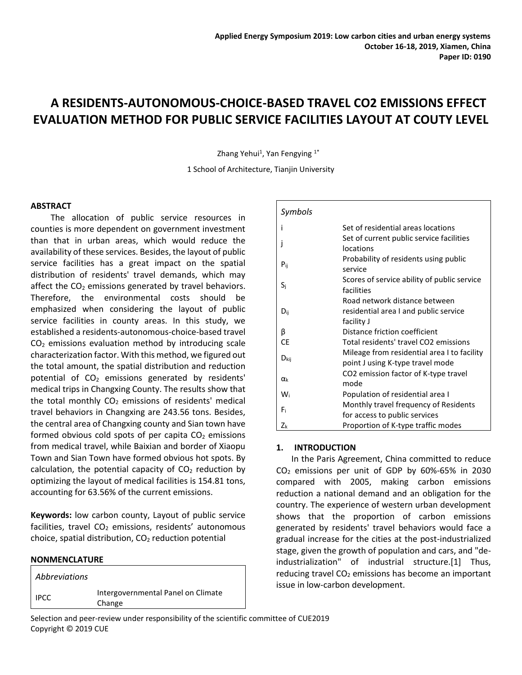# **A RESIDENTS-AUTONOMOUS-CHOICE-BASED TRAVEL CO2 EMISSIONS EFFECT EVALUATION METHOD FOR PUBLIC SERVICE FACILITIES LAYOUT AT COUTY LEVEL**

Zhang Yehui<sup>1</sup>, Yan Fengying <sup>1\*</sup>

1 School of Architecture, Tianjin University

#### **ABSTRACT**

The allocation of public service resources in counties is more dependent on government investment than that in urban areas, which would reduce the availability of these services. Besides, the layout of public service facilities has a great impact on the spatial distribution of residents' travel demands, which may affect the  $CO<sub>2</sub>$  emissions generated by travel behaviors. Therefore, the environmental costs should be emphasized when considering the layout of public service facilities in county areas. In this study, we established a residents-autonomous-choice-based travel  $CO<sub>2</sub>$  emissions evaluation method by introducing scale characterization factor. With this method, we figured out the total amount, the spatial distribution and reduction potential of  $CO<sub>2</sub>$  emissions generated by residents' medical trips in Changxing County. The results show that the total monthly  $CO<sub>2</sub>$  emissions of residents' medical travel behaviors in Changxing are 243.56 tons. Besides, the central area of Changxing county and Sian town have formed obvious cold spots of per capita  $CO<sub>2</sub>$  emissions from medical travel, while Baixian and border of Xiaopu Town and Sian Town have formed obvious hot spots. By calculation, the potential capacity of  $CO<sub>2</sub>$  reduction by optimizing the layout of medical facilities is 154.81 tons, accounting for 63.56% of the current emissions.

**Keywords:** low carbon county, Layout of public service facilities, travel  $CO<sub>2</sub>$  emissions, residents' autonomous choice, spatial distribution,  $CO<sub>2</sub>$  reduction potential

#### **NONMENCLATURE**

*Abbreviations* IPCC Intergovernmental Panel on Climate Change

| Symbols   |                                                                                 |
|-----------|---------------------------------------------------------------------------------|
|           | Set of residential areas locations                                              |
|           | Set of current public service facilities<br>locations                           |
| $P_{ii}$  | Probability of residents using public<br>service                                |
| Si        | Scores of service ability of public service<br>facilities                       |
|           | Road network distance between                                                   |
| $D_{ii}$  | residential area I and public service                                           |
|           | facility J                                                                      |
| β         | Distance friction coefficient                                                   |
| <b>CE</b> | Total residents' travel CO2 emissions                                           |
| $D_{kij}$ | Mileage from residential area I to facility<br>point J using K-type travel mode |
| αĸ        | CO2 emission factor of K-type travel<br>mode                                    |
| Wi        | Population of residential area I                                                |
| F.        | Monthly travel frequency of Residents<br>for access to public services          |
| Zk        | Proportion of K-type traffic modes                                              |

### **1. INTRODUCTION**

In the Paris Agreement, China committed to reduce  $CO<sub>2</sub>$  emissions per unit of GDP by 60%-65% in 2030 compared with 2005, making carbon emissions reduction a national demand and an obligation for the country. The experience of western urban development shows that the proportion of carbon emissions generated by residents' travel behaviors would face a gradual increase for the cities at the post-industrialized stage, given the growth of population and cars, and "deindustrialization" of industrial structure.[1] Thus, reducing travel  $CO<sub>2</sub>$  emissions has become an important issue in low-carbon development.

Selection and peer-review under responsibility of the scientific committee of CUE2019 Copyright © 2019 CUE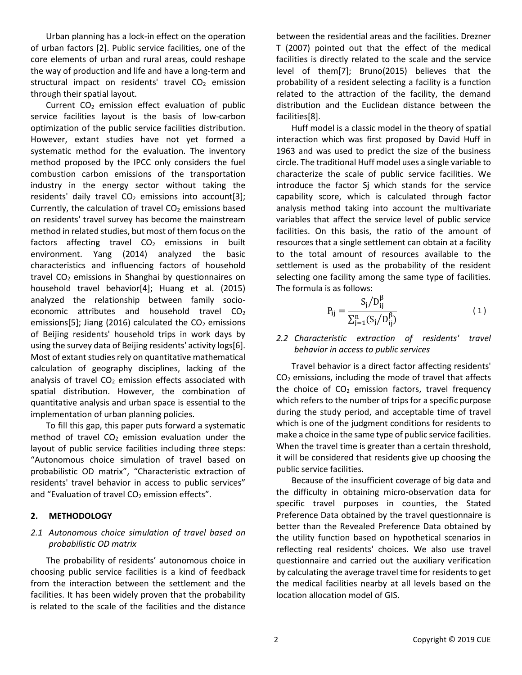Urban planning has a lock-in effect on the operation of urban factors [2]. Public service facilities, one of the core elements of urban and rural areas, could reshape the way of production and life and have a long-term and structural impact on residents' travel  $CO<sub>2</sub>$  emission through their spatial layout.

Current  $CO<sub>2</sub>$  emission effect evaluation of public service facilities layout is the basis of low-carbon optimization of the public service facilities distribution. However, extant studies have not yet formed a systematic method for the evaluation. The inventory method proposed by the IPCC only considers the fuel combustion carbon emissions of the transportation industry in the energy sector without taking the residents' daily travel  $CO<sub>2</sub>$  emissions into account[3]; Currently, the calculation of travel  $CO<sub>2</sub>$  emissions based on residents' travel survey has become the mainstream method in related studies, but most of them focus on the factors affecting travel  $CO<sub>2</sub>$  emissions in built environment. Yang (2014) analyzed the basic characteristics and influencing factors of household travel  $CO<sub>2</sub>$  emissions in Shanghai by questionnaires on household travel behavior[4]; Huang et al. (2015) analyzed the relationship between family socioeconomic attributes and household travel  $CO<sub>2</sub>$ emissions[5]; Jiang (2016) calculated the  $CO<sub>2</sub>$  emissions of Beijing residents' household trips in work days by using the survey data of Beijing residents' activity logs[6]. Most of extant studies rely on quantitative mathematical calculation of geography disciplines, lacking of the analysis of travel  $CO<sub>2</sub>$  emission effects associated with spatial distribution. However, the combination of quantitative analysis and urban space is essential to the implementation of urban planning policies.

To fill this gap, this paper puts forward a systematic method of travel  $CO<sub>2</sub>$  emission evaluation under the layout of public service facilities including three steps: "Autonomous choice simulation of travel based on probabilistic OD matrix", "Characteristic extraction of residents' travel behavior in access to public services" and "Evaluation of travel  $CO<sub>2</sub>$  emission effects".

### **2. METHODOLOGY**

## *2.1 Autonomous choice simulation of travel based on probabilistic OD matrix*

The probability of residents' autonomous choice in choosing public service facilities is a kind of feedback from the interaction between the settlement and the facilities. It has been widely proven that the probability is related to the scale of the facilities and the distance

between the residential areas and the facilities. Drezner T (2007) pointed out that the effect of the medical facilities is directly related to the scale and the service level of them[7]; Bruno(2015) believes that the probability of a resident selecting a facility is a function related to the attraction of the facility, the demand distribution and the Euclidean distance between the facilities[8].

Huff model is a classic model in the theory of spatial interaction which was first proposed by David Huff in 1963 and was used to predict the size of the business circle. The traditional Huff model uses a single variable to characterize the scale of public service facilities. We introduce the factor Sj which stands for the service capability score, which is calculated through factor analysis method taking into account the multivariate variables that affect the service level of public service facilities. On this basis, the ratio of the amount of resources that a single settlement can obtain at a facility to the total amount of resources available to the settlement is used as the probability of the resident selecting one facility among the same type of facilities. The formula is as follows:

$$
P_{ij} = \frac{S_j/D_{ij}^{\beta}}{\sum_{j=1}^{n} (S_j/D_{ij}^{\beta})}
$$
 (1)

# *2.2 Characteristic extraction of residents' travel behavior in access to public services*

Travel behavior is a direct factor affecting residents'  $CO<sub>2</sub>$  emissions, including the mode of travel that affects the choice of  $CO<sub>2</sub>$  emission factors, travel frequency which refers to the number of trips for a specific purpose during the study period, and acceptable time of travel which is one of the judgment conditions for residents to make a choice in the same type of public service facilities. When the travel time is greater than a certain threshold, it will be considered that residents give up choosing the public service facilities.

Because of the insufficient coverage of big data and the difficulty in obtaining micro-observation data for specific travel purposes in counties, the Stated Preference Data obtained by the travel questionnaire is better than the Revealed Preference Data obtained by the utility function based on hypothetical scenarios in reflecting real residents' choices. We also use travel questionnaire and carried out the auxiliary verification by calculating the average travel time for residents to get the medical facilities nearby at all levels based on the location allocation model of GIS.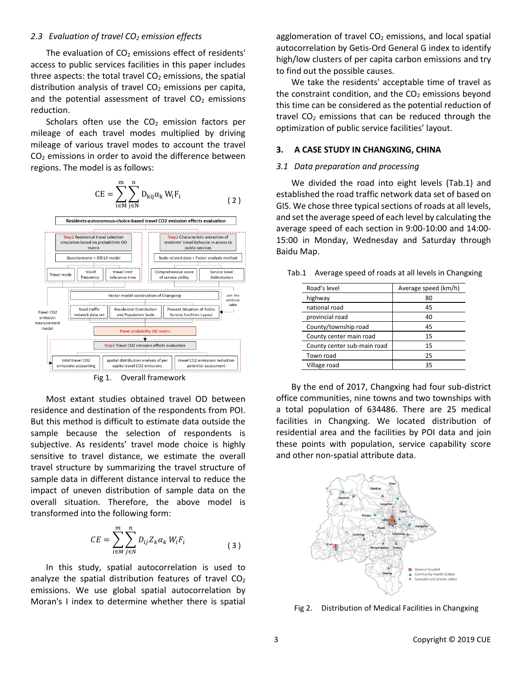#### *2.3 Evaluation of travel CO<sup>2</sup> emission effects*

The evaluation of  $CO<sub>2</sub>$  emissions effect of residents' access to public services facilities in this paper includes three aspects: the total travel  $CO<sub>2</sub>$  emissions, the spatial distribution analysis of travel  $CO<sub>2</sub>$  emissions per capita, and the potential assessment of travel  $CO<sub>2</sub>$  emissions reduction.

Scholars often use the  $CO<sub>2</sub>$  emission factors per mileage of each travel modes multiplied by driving mileage of various travel modes to account the travel  $CO<sub>2</sub>$  emissions in order to avoid the difference between regions. The model is as follows:





Fig 1. Overall framework

Most extant studies obtained travel OD between residence and destination of the respondents from POI. But this method is difficult to estimate data outside the sample because the selection of respondents is subjective. As residents' travel mode choice is highly sensitive to travel distance, we estimate the overall travel structure by summarizing the travel structure of sample data in different distance interval to reduce the impact of uneven distribution of sample data on the overall situation. Therefore, the above model is transformed into the following form:

$$
CE = \sum_{i \in M}^{m} \sum_{j \in N}^{n} D_{ij} Z_k \alpha_k W_i F_i
$$
 (3)

In this study, spatial autocorrelation is used to analyze the spatial distribution features of travel  $CO<sub>2</sub>$ emissions. We use global spatial autocorrelation by Moran's I index to determine whether there is spatial agglomeration of travel  $CO<sub>2</sub>$  emissions, and local spatial autocorrelation by Getis-Ord General G index to identify high/low clusters of per capita carbon emissions and try to find out the possible causes.

We take the residents' acceptable time of travel as the constraint condition, and the  $CO<sub>2</sub>$  emissions beyond this time can be considered as the potential reduction of travel  $CO<sub>2</sub>$  emissions that can be reduced through the optimization of public service facilities' layout.

#### **3. A CASE STUDY IN CHANGXING, CHINA**

#### *3.1 Data preparation and processing*

We divided the road into eight levels [\(Tab.1\)](#page-2-0) and established the road traffic network data set of based on GIS. We chose three typical sections of roads at all levels, and set the average speed of each level by calculating the average speed of each section in 9:00-10:00 and 14:00- 15:00 in Monday, Wednesday and Saturday through Baidu Map.

<span id="page-2-0"></span>Tab.1 Average speed of roads at all levels in Changxing

| Road's level                | Average speed (km/h) |  |
|-----------------------------|----------------------|--|
| highway                     | 80                   |  |
| national road               | 45                   |  |
| provincial road             | 40                   |  |
| County/township road        | 45                   |  |
| County center main road     | 15                   |  |
| County center sub-main road | 15                   |  |
| Town road                   | 25                   |  |
| Village road                | 35                   |  |

By the end of 2017, Changxing had four sub-district office communities, nine towns and two townships with a total population of 634486. There are 25 medical facilities in Changxing. We located distribution of residential area and the facilities by POI data and join these points with population, service capability score and other non-spatial attribute data.



Fig 2. Distribution of Medical Facilities in Changxing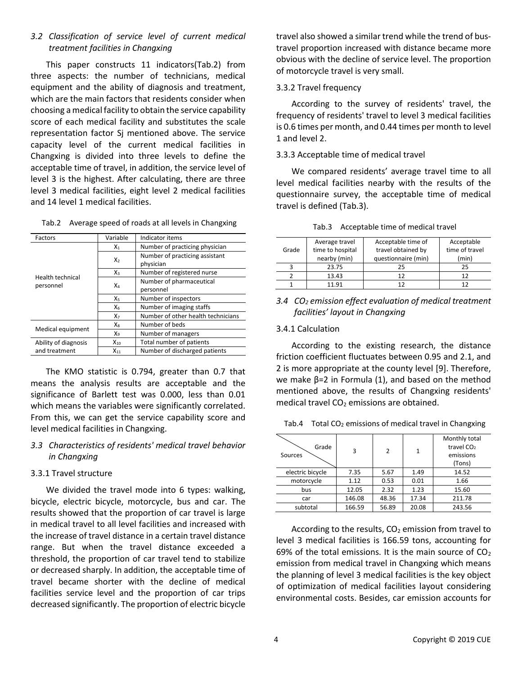# *3.2 Classification of service level of current medical treatment facilities in Changxing*

This paper constructs 11 indicators[\(Tab.2\)](#page-3-0) from three aspects: the number of technicians, medical equipment and the ability of diagnosis and treatment, which are the main factors that residents consider when choosing a medical facility to obtain the service capability score of each medical facility and substitutes the scale representation factor Sj mentioned above. The service capacity level of the current medical facilities in Changxing is divided into three levels to define the acceptable time of travel, in addition, the service level of level 3 is the highest. After calculating, there are three level 3 medical facilities, eight level 2 medical facilities and 14 level 1 medical facilities.

| Factors                       | Variable       | Indicator items                    |  |  |
|-------------------------------|----------------|------------------------------------|--|--|
|                               | $X_1$          | Number of practicing physician     |  |  |
|                               | $X_{2}$        | Number of practicing assistant     |  |  |
| Health technical<br>personnel |                | physician                          |  |  |
|                               | $X_3$          | Number of registered nurse         |  |  |
|                               | X4             | Number of pharmaceutical           |  |  |
|                               |                | personnel                          |  |  |
|                               | X5             | Number of inspectors               |  |  |
|                               | X <sub>6</sub> | Number of imaging staffs           |  |  |
|                               | $X_7$          | Number of other health technicians |  |  |
|                               | X <sub>8</sub> | Number of beds                     |  |  |
| Medical equipment             | Xq             | Number of managers                 |  |  |
| Ability of diagnosis          | $X_{10}$       | Total number of patients           |  |  |
| and treatment<br>$X_{11}$     |                | Number of discharged patients      |  |  |

<span id="page-3-0"></span>Tab.2 Average speed of roads at all levels in Changxing

The KMO statistic is 0.794, greater than 0.7 that means the analysis results are acceptable and the significance of Barlett test was 0.000, less than 0.01 which means the variables were significantly correlated. From this, we can get the service capability score and level medical facilities in Changxing.

# *3.3 Characteristics of residents' medical travel behavior in Changxing*

### 3.3.1 Travel structure

We divided the travel mode into 6 types: walking, bicycle, electric bicycle, motorcycle, bus and car. The results showed that the proportion of car travel is large in medical travel to all level facilities and increased with the increase of travel distance in a certain travel distance range. But when the travel distance exceeded a threshold, the proportion of car travel tend to stabilize or decreased sharply. In addition, the acceptable time of travel became shorter with the decline of medical facilities service level and the proportion of car trips decreased significantly. The proportion of electric bicycle

travel also showed a similar trend while the trend of bustravel proportion increased with distance became more obvious with the decline of service level. The proportion of motorcycle travel is very small.

# 3.3.2 Travel frequency

According to the survey of residents' travel, the frequency of residents' travel to level 3 medical facilities is 0.6 times per month, and 0.44 times per month to level 1 and level 2.

### 3.3.3 Acceptable time of medical travel

We compared residents' average travel time to all level medical facilities nearby with the results of the questionnaire survey, the acceptable time of medical travel is defined [\(Tab.3\)](#page-3-1).

|  | Tab.3 Acceptable time of medical travel |  |  |  |
|--|-----------------------------------------|--|--|--|
|--|-----------------------------------------|--|--|--|

<span id="page-3-1"></span>

|       | Acceptable time of<br>Average travel |                     | Acceptable     |
|-------|--------------------------------------|---------------------|----------------|
| Grade | time to hospital                     | travel obtained by  | time of travel |
|       | nearby (min)                         | questionnaire (min) | (min)          |
|       | 23.75                                | 25                  |                |
|       | 13.43                                |                     |                |
|       | 11.91                                |                     |                |

*3.4 CO<sup>2</sup> emission effect evaluation of medical treatment facilities' layout in Changxing*

# 3.4.1 Calculation

According to the existing research, the distance friction coefficient fluctuates between 0.95 and 2.1, and 2 is more appropriate at the county level [9]. Therefore, we make β=2 in Formula (1), and based on the method mentioned above, the results of Changxing residents' medical travel  $CO<sub>2</sub>$  emissions are obtained.

Tab.4 Total  $CO<sub>2</sub>$  emissions of medical travel in Changxing

| Grade<br>Sources | 3      | 2     | 1               | Monthly total          |
|------------------|--------|-------|-----------------|------------------------|
|                  |        |       |                 | travel CO <sub>2</sub> |
|                  |        |       |                 | emissions              |
|                  |        |       |                 | (Tons)                 |
| electric bicycle | 7.35   | 5.67  | 1.49            | 14.52                  |
| motorcycle       | 1.12   | 0.53  | 0.01            | 1.66                   |
| bus              | 12.05  | 2.32  | 1.23            | 15.60                  |
| car              | 146.08 | 48.36 | 17.34<br>211.78 |                        |
| subtotal         | 166.59 | 56.89 | 20.08           | 243.56                 |

According to the results,  $CO<sub>2</sub>$  emission from travel to level 3 medical facilities is 166.59 tons, accounting for 69% of the total emissions. It is the main source of  $CO<sub>2</sub>$ emission from medical travel in Changxing which means the planning of level 3 medical facilities is the key object of optimization of medical facilities layout considering environmental costs. Besides, car emission accounts for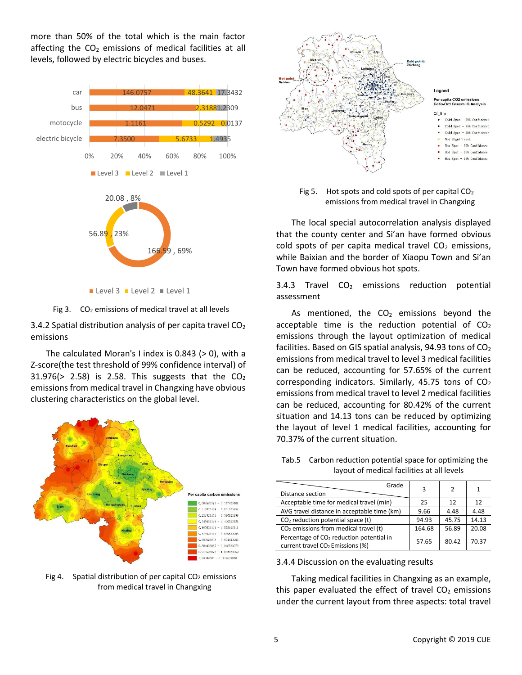more than 50% of the total which is the main factor affecting the  $CO<sub>2</sub>$  emissions of medical facilities at all levels, followed by electric bicycles and buses.



Fig 3. CO<sub>2</sub> emissions of medical travel at all levels

3.4.2 Spatial distribution analysis of per capita travel  $CO<sub>2</sub>$ emissions

The calculated Moran's I index is 0.843 (> 0), with a Z-score(the test threshold of 99% confidence interval) of 31.976( $> 2.58$ ) is 2.58. This suggests that the  $CO<sub>2</sub>$ emissions from medical travel in Changxing have obvious clustering characteristics on the global level.







Fig 5. Hot spots and cold spots of per capital CO<sup>2</sup> emissions from medical travel in Changxing

The local special autocorrelation analysis displayed that the county center and Si'an have formed obvious cold spots of per capita medical travel  $CO<sub>2</sub>$  emissions, while Baixian and the border of Xiaopu Town and Si'an Town have formed obvious hot spots.

3.4.3 Travel  $CO<sub>2</sub>$  emissions reduction potential assessment

As mentioned, the  $CO<sub>2</sub>$  emissions beyond the acceptable time is the reduction potential of  $CO<sub>2</sub>$ emissions through the layout optimization of medical facilities. Based on GIS spatial analysis, 94.93 tons of  $CO<sub>2</sub>$ emissions from medical travel to level 3 medical facilities can be reduced, accounting for 57.65% of the current corresponding indicators. Similarly, 45.75 tons of  $CO<sub>2</sub>$ emissions from medical travel to level 2 medical facilities can be reduced, accounting for 80.42% of the current situation and 14.13 tons can be reduced by optimizing the layout of level 1 medical facilities, accounting for 70.37% of the current situation.

Tab.5 Carbon reduction potential space for optimizing the layout of medical facilities at all levels

| Grade<br>Distance section                                                                            | 3      | $\mathcal{P}$ | 1     |
|------------------------------------------------------------------------------------------------------|--------|---------------|-------|
| Acceptable time for medical travel (min)                                                             | 25     | 12            | 12    |
| AVG travel distance in acceptable time (km)                                                          | 9.66   | 4.48          | 4.48  |
| $CO2$ reduction potential space (t)                                                                  | 94.93  | 45.75         | 14.13 |
| $CO2$ emissions from medical travel (t)                                                              | 164.68 | 56.89         | 20.08 |
| Percentage of CO <sub>2</sub> reduction potential in<br>current travel CO <sub>2</sub> Emissions (%) | 57.65  | 80.42         | 70.37 |

#### 3.4.4 Discussion on the evaluating results

Taking medical facilities in Changxing as an example, this paper evaluated the effect of travel  $CO<sub>2</sub>$  emissions under the current layout from three aspects: total travel